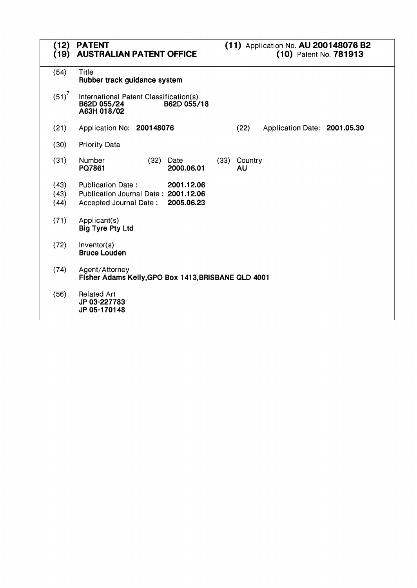| (12)<br>(19)         | <b>PATENT</b><br><b>AUSTRALIAN PATENT OFFICE</b>                                                                       | (11) Application No. AU 200148076 B2<br>(10) Patent No. 781913 |
|----------------------|------------------------------------------------------------------------------------------------------------------------|----------------------------------------------------------------|
| (54)                 | Title<br>Rubber track guidance system                                                                                  |                                                                |
| $(51)^7$             | International Patent Classification(s)<br>B62D 055/24<br>B62D 055/18<br>A63H 018/02                                    |                                                                |
| (21)                 | Application No: 200148076                                                                                              | (22)<br>Application Date: 2001.05.30                           |
| (30)                 | <b>Priority Data</b>                                                                                                   |                                                                |
| (31)                 | Number<br>(32)<br>Date<br>PQ7861<br>2000.06.01                                                                         | (33)<br>Country<br>AU                                          |
| (43)<br>(43)<br>(44) | <b>Publication Date:</b><br>2001.12.06<br>Publication Journal Date: 2001.12.06<br>2005.06.23<br>Accepted Journal Date: |                                                                |
| (71)                 | Applicant(s)<br><b>Big Tyre Pty Ltd</b>                                                                                |                                                                |
| (72)                 | Inventor(s)<br><b>Bruce Louden</b>                                                                                     |                                                                |
| (74)                 | Agent/Attorney<br>Fisher Adams Kelly, GPO Box 1413, BRISBANE QLD 4001                                                  |                                                                |
| (56)                 | <b>Related Art</b><br>JP 03-227783<br>JP 05-170148                                                                     |                                                                |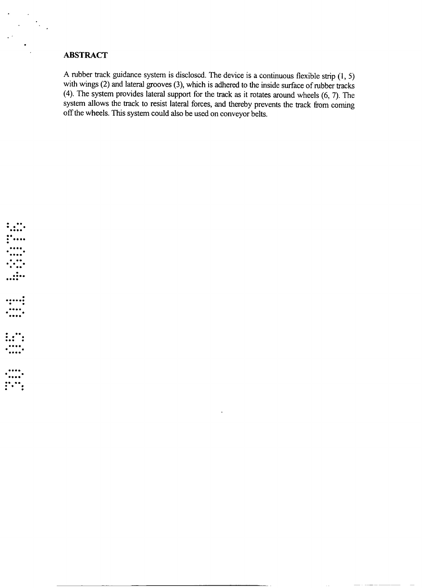### **ABSTRACT**

 $\cdots$  :

A rubber track guidance system is disclosed. The device is a continuous flexible strip  $(1, 5)$  with wings (2) and lateral grooves (3), which is adhered to the inside surface of rubber tracks  $(4)$ . The system provides lateral support for the track as it rotates around wheels  $(6, 7)$ . The system allows the track to resist lateral forces, and thereby prevents the track from coming off the wheels. This system could also be used on conveyor belts.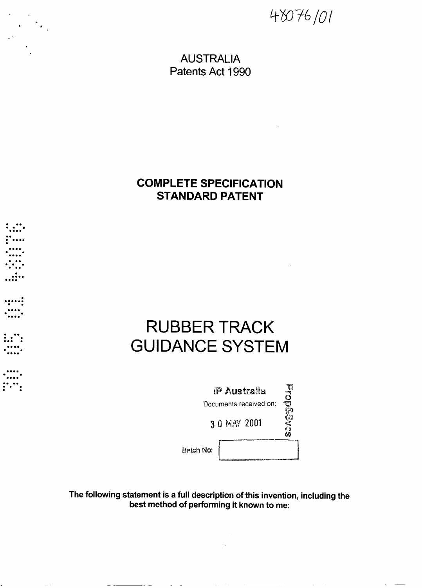*-07-6/o/*

**AUSTRALIA** Patents Act **1990**

## **COMPLETE SPECIFICATION STANDARD PATENT**

# **RUBBER TRACK GUIDANCE SYSTEM**

. . . . . .

.....;

;,∵;

<u>: . . .</u>

| IP Australia           | U<br>O<br>O<br>ರ |
|------------------------|------------------|
| Documents received on: |                  |
| 3 0 MAY 2001           | ৣ৸৽              |
| Batch No:              |                  |

The following statement is **a** full description of this invention, including the best method of performing it known to me:

 $\mathcal{L}^{\mathcal{L}}(\mathcal{L}^{\mathcal{L}}(\mathcal{L}^{\mathcal{L}}(\mathcal{L}^{\mathcal{L}}(\mathcal{L}^{\mathcal{L}}(\mathcal{L}^{\mathcal{L}}(\mathcal{L}^{\mathcal{L}}(\mathcal{L}^{\mathcal{L}}(\mathcal{L}^{\mathcal{L}}(\mathcal{L}^{\mathcal{L}}(\mathcal{L}^{\mathcal{L}}(\mathcal{L}^{\mathcal{L}}(\mathcal{L}^{\mathcal{L}}(\mathcal{L}^{\mathcal{L}}(\mathcal{L}^{\mathcal{L}}(\mathcal{L}^{\mathcal{L}}(\mathcal{L}^{\mathcal{L$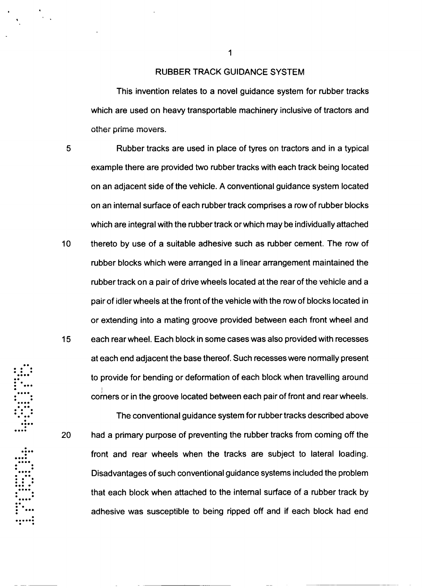#### RUBBER TRACK GUIDANCE SYSTEM

This invention relates to a novel guidance system for rubber tracks which are used on heavy transportable machinery inclusive of tractors and other prime movers.

5 Rubber tracks are used in place of tyres on tractors and in a typical example there are provided two rubber tracks with each track being located on an adjacent side of the vehicle. A conventional guidance system located on an internal surface of each rubber track comprises a row of rubber blocks which are integral with the rubber track or which may be individually attached  $10<sub>1</sub>$ thereto by use of a suitable adhesive such as rubber cement. The row of rubber blocks which were arranged in a linear arrangement maintained the rubber track on a pair of drive wheels located at the rear of the vehicle and a pair of idler wheels at the front of the vehicle with the row of blocks located in or extending into a mating groove provided between each front wheel and 15 each rear wheel. Each block in some cases was also provided with recesses at each end adjacent the base thereof. Such recesses were normally present to provide for bending or deformation of each block when travelling around corners or in the groove located between each pairof front and rearwheels.

The conventional guidance system for rubber tracks described above had a primary purpose of preventing the rubber tracks from coming off the front and rear wheels when the tracks are subject to lateral loading. Disadvantages of such conventional guidance systems included the problem that each block when attached to the internal surface of a rubber track by adhesive was susceptible to being ripped off and if each block had end

**oooo**

20

**i**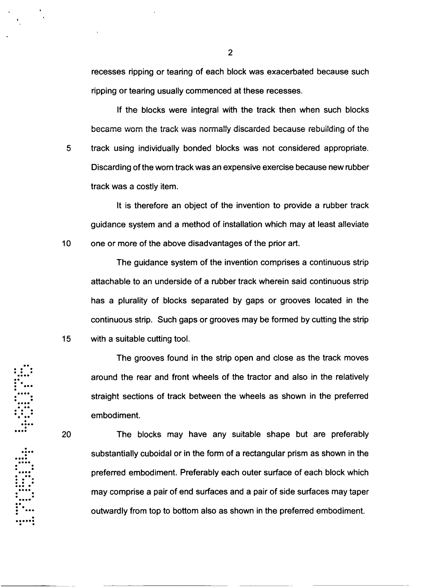recesses ripping or tearing of each block was exacerbated because such ripping or tearing usually commenced at these recesses.

If the blocks were integral with the track then when such blocks became worn the track was norally discarded because rebuilding of the 5 track using individually bonded blocks was not considered appropriate. Discarding of the worn track was an expensive exercise because new rubber track was a costly item.

It is therefore an object of the invention to provide a rubber track guidance system and a method of installation which may at least alleviate one or more of the above disadvantages of the prior art.

The guidance system of the invention comprises a continuous strip attachable to an underside of a rubber track wherein said continuous strip has a plurality of blocks separated by gaps or grooves located in the continuous strip. Such gaps or grooves may be formed by cutting the strip with a suitable cutting tool.

The grooves found in the strip open and close as the track moves around the rear and front wheels of the tractor and also in the relatively straight sections of track between the wheels as shown in the preferred embodiment.

**e**

 $10<sup>°</sup>$ 

15

20

**\*\*0\*o <sup>i</sup>**

The blocks may have any suitable shape but are preferably substantially cuboidal or in the form of a rectangular prism as shown in the :•-:"preferred embodiment. Preferably each outer surface of each block which **<sup>b</sup>0 0** may comprise a pair of end surfaces and a pair of side surfaces may taper outwardly from top to bottom also as shown in the preferred embodiment.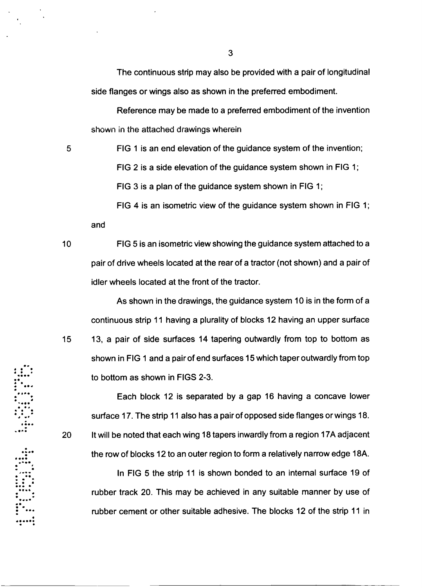The continuous strip may also be provided with a pair of longitudinal side flanges or wings also as shown in the preferred embodiment.

Reference may be made to a preferred embodiment of the invention shown in the attached drawings wherein

5

**FIG** 1 is an end elevation of the guidance system of the invention;

**FIG** 2 is a side elevation of the guidance system shown in **FIG** 1;

**FIG 3** is a plan of the guidance system shown in **FIG** 1;

**FIG** 4 is an isometric view of the guidance system shown in **FIG** 1; and

 $10<sup>°</sup>$ 

20

**FIG** 5 is an isometric view showing the guidance system attached to a pair of drive wheels located at the rear of a tractor (not shown) and a pair of idler wheels located at the front of the tractor.

As shown in the drawings, the guidance system **10** is in the form of a continuous strip 11 having a plurality of blocks 12 having an upper surface 15 13, a pair of side surfaces 14 tapering outwardly from top to bottom as shown in FIG 1 and a pair of end surfaces 15 which taper outwardly from top to bottom as shown in FIGS 2-3.

Each block 12 is separated by a gap **16** having a concave lower surface **17.** The strip 11 also has a pair of opposed side flanges or wings **18.** It will be noted that each wing 18 tapers inwardly from a region 17A adjacent the row of blocks 12 to an outer region to form a relatively narrow edge 18A.

In **FIG** 5 the strip 11 is shown bonded to an internal surface 19 of rubber track 20. This may be achieved in any suitable manner by use of rubber cement or other suitable adhesive. The blocks 12 of the strip 11 in

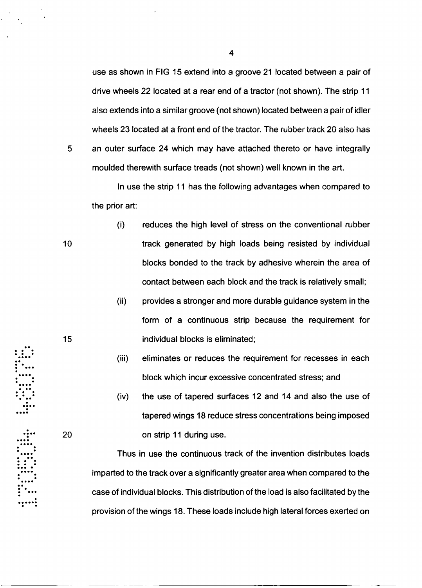use as shown in **FIG** 15 extend into a groove 21 located between a pair of drive wheels 22 located at a rear end of a tractor (not shown). The strip 11 also extends into a similar groove (not shown) located between a pair of idler wheels 23 located at a front end of the tractor. The rubber track 20 also has an outer surface 24 which may have attached thereto or have integrally

moulded therewith surface treads (not shown) well known in the art.

In use the strip 11 has the following advantages when compared to the prior art:

- $(i)$ reduces the high level of stress on the conventional rubber track generated by high loads being resisted by individual blocks bonded to the track by adhesive wherein the area of contact between each block and the track is relatively small;
	- (ii) provides a stronger and more durable guidance system in the form of a continuous strip because the requirement for individual blocks is eliminated;
	- (iii) eliminates or reduces the requirement for recesses in each block which incur excessive concentrated stress; and
- (iv) the use of tapered surfaces 12 and 14 and also the use of tapered wings 18 reduce stress concentrations being imposed **)0** on strip 11 during use.

Thus in use the continuous track of the invention distributes loads imparted to the track over a significantly greater area when compared to the case of individual blocks. This distribution of the load is also facilitated by the provision of the wings 18. These loads include high lateral forces exerted on

15

5

- 
- 
- 
-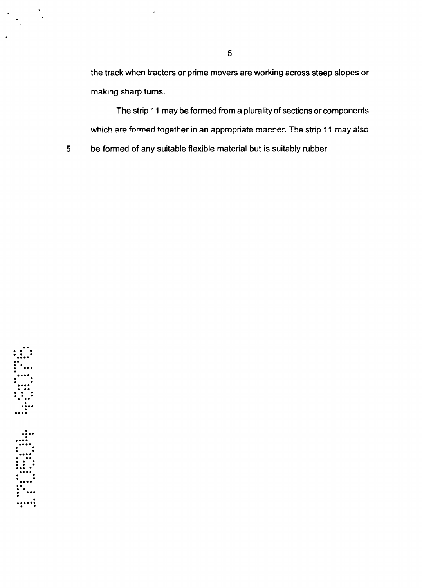the track when tractors or prime movers are working across steep slopes or making sharp turns.

The strip 11 may be formed from a plurality of sections or components which are formed together in an appropriate manner. The strip **11** may also be formed of any suitable flexible material but is suitably rubber.

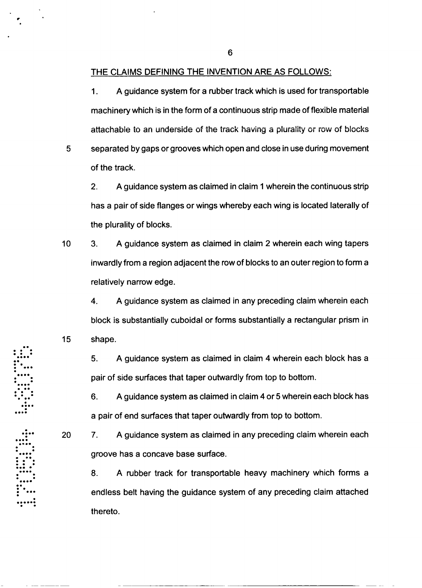#### THE CLAIMS DEFINING THE INVENTION ARE AS FOLLOWS:

1. A guidance system for a rubber track which is used for transportable machinery which is in the form of a continuous strip made of flexible material attachable to an underside of the track having a plurality or row of blocks

 $5<sup>5</sup>$ separated by gaps or grooves which open and close in use during movement of the track.

2. A guidance system as claimed in claim 1 wherein the continuous strip has a pair of side flanges or wings whereby each wing is located laterally of the plurality of blocks.

 $10<sub>1</sub>$ 3. A guidance system as claimed in claim 2 wherein each wing tapers inwardly from a region adjacent the row of blocks to an outer region to form a relatively narrow edge.

4. A guidance system as claimed in any preceding claim wherein each block is substantially cuboidal or forms substantially a rectangular prism in shape.

5. A guidance system as claimed in claim 4 wherein each block has a pair of side surfaces that taper outwardly from top to bottom.

**S6.** A guidance system as claimed in claim 4 or 5 wherein each block has a pair of end surfaces that taper outwardly from top to bottom.

20

15

7. A guidance system as claimed in any preceding claim wherein each groove has a concave base surface.

8. A rubber track for transportable heavy machinery which forms a endless belt having the guidance system of any preceding claim attached thereto.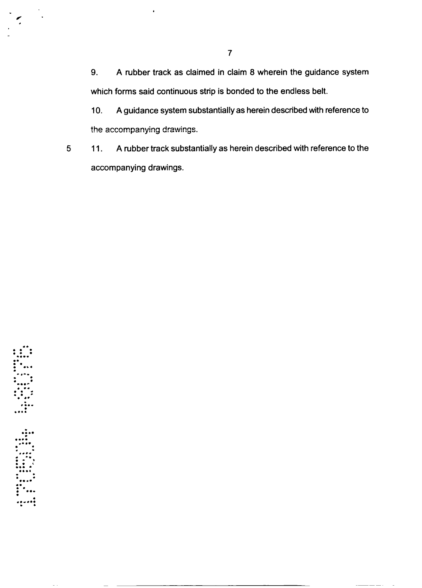**9. A** rubber track as claimed in claim **8** wherein the guidance system which forms said continuous strip is bonded to the endless belt.

**A** guidance system substantially as herein described with reference to  $10.$ the accompanying drawings.

**11. A** rubber track substantially as herein described with reference to the  $5<sup>5</sup>$ accompanying drawings.

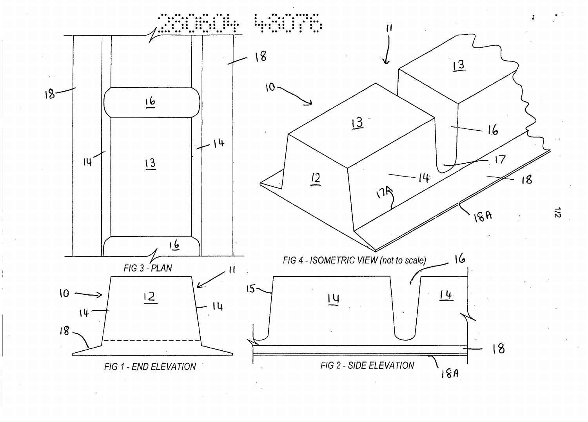